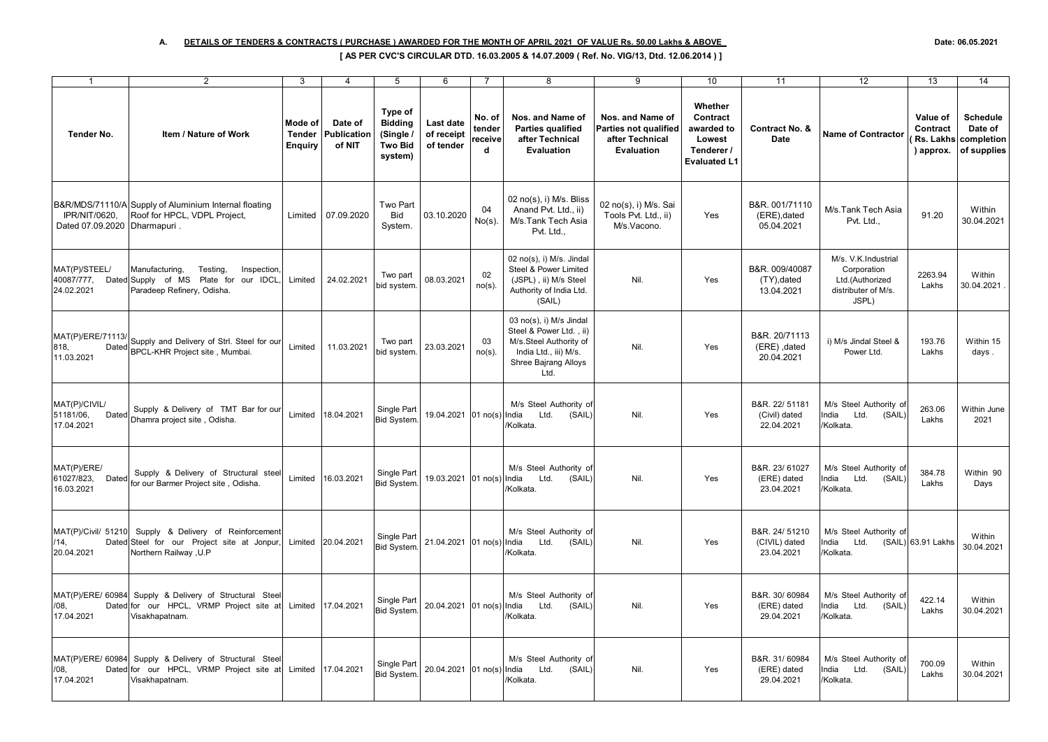## **A. DETAILS OF TENDERS & CONTRACTS ( PURCHASE ) AWARDED FOR THE MONTH OF APRIL 2021 OF VALUE Rs. 50.00 Lakhs & ABOVE Date: 06.05.2021**

## **[ AS PER CVC'S CIRCULAR DTD. 16.03.2005 & 14.07.2009 ( Ref. No. VIG/13, Dtd. 12.06.2014 ) ]**

| $\mathbf{1}$                                      | $\overline{2}$                                                                                                  | 3                                          | $\overline{4}$                   | 5                                                                   | 6                                    | $\overline{7}$                   | 8                                                                                                                                     | 9                                                                                 | 10                                                                               | 11                                            | 12                                                                                    | 13                                             | 14                                                      |
|---------------------------------------------------|-----------------------------------------------------------------------------------------------------------------|--------------------------------------------|----------------------------------|---------------------------------------------------------------------|--------------------------------------|----------------------------------|---------------------------------------------------------------------------------------------------------------------------------------|-----------------------------------------------------------------------------------|----------------------------------------------------------------------------------|-----------------------------------------------|---------------------------------------------------------------------------------------|------------------------------------------------|---------------------------------------------------------|
| Tender No.                                        | Item / Nature of Work                                                                                           | Mode of<br><b>Tender</b><br><b>Enguiry</b> | Date of<br>Publication<br>of NIT | Type of<br><b>Bidding</b><br>(Single /<br><b>Two Bid</b><br>system) | Last date<br>of receipt<br>of tender | No. of<br>tender<br>receive<br>d | Nos. and Name of<br><b>Parties qualified</b><br>after Technical<br><b>Evaluation</b>                                                  | Nos. and Name of<br>Parties not qualified<br>after Technical<br><b>Evaluation</b> | Whether<br>Contract<br>awarded to<br>Lowest<br>Tenderer /<br><b>Evaluated L1</b> | Contract No. &<br>Date                        | <b>Name of Contractor</b>                                                             | Value of<br>Contract<br>Rs. Lakhs<br>) approx. | <b>Schedule</b><br>Date of<br>completion<br>of supplies |
| IPR/NIT/0620,<br>Dated 07.09.2020                 | B&R/MDS/71110/A Supply of Aluminium Internal floating<br>Roof for HPCL, VDPL Project,<br>Dharmapuri.            | Limited                                    | 07.09.2020                       | Two Part<br><b>Bid</b><br>System.                                   | 03.10.2020                           | 04<br>No(s).                     | 02 no(s), i) M/s. Bliss<br>Anand Pvt. Ltd., ii)<br>M/s.Tank Tech Asia<br>Pvt. Ltd                                                     | 02 no(s), i) M/s. Sai<br>Tools Pvt. Ltd., ii)<br>M/s.Vacono.                      | Yes                                                                              | B&R. 001/71110<br>(ERE), dated<br>05.04.2021  | M/s.Tank Tech Asia<br>Pvt. Ltd.,                                                      | 91.20                                          | Within<br>30.04.2021                                    |
| MAT(P)/STEEL/<br>40087/777,<br>24.02.2021         | Manufacturing,<br>Testing,<br>Inspection<br>Dated Supply of MS Plate for our IDCL<br>Paradeep Refinery, Odisha. | Limited                                    | 24.02.2021                       | Two part<br>bid system                                              | 08.03.2021                           | 02<br>$no(s)$ .                  | 02 no(s), i) M/s. Jindal<br>Steel & Power Limited<br>(JSPL), ii) M/s Steel<br>Authority of India Ltd.<br>(SAIL)                       | Nil.                                                                              | Yes                                                                              | B&R. 009/40087<br>(TY), dated<br>13.04.2021   | M/s. V.K.Industrial<br>Corporation<br>Ltd.(Authorized<br>distributer of M/s.<br>JSPL) | 2263.94<br>Lakhs                               | Within<br>30.04.2021                                    |
| MAT(P)/ERE/71113/<br>818,<br>Dated<br>11.03.2021  | Supply and Delivery of Strl. Steel for our<br>BPCL-KHR Project site, Mumbai.                                    | Limited                                    | 11.03.2021                       | Two part<br>bid system                                              | 23.03.2021                           | 03<br>$no(s)$ .                  | 03 no(s), i) M/s Jindal<br>Steel & Power Ltd., ii)<br>M/s.Steel Authority of<br>India Ltd., iii) M/s.<br>Shree Bajrang Alloys<br>Ltd. | Nil.                                                                              | Yes                                                                              | B&R. 20/71113<br>(ERE), dated<br>20.04.2021   | i) M/s Jindal Steel &<br>Power Ltd.                                                   | 193.76<br>Lakhs                                | Within 15<br>days.                                      |
| MAT(P)/CIVIL/<br>51181/06,<br>Dated<br>17.04.2021 | Supply & Delivery of TMT Bar for our<br>Dhamra project site, Odisha.                                            | Limited                                    | 18.04.2021                       | Single Part<br><b>Bid System.</b>                                   | 19.04.2021 01 no(s) India            |                                  | M/s Steel Authority of<br>Ltd.<br>(SAIL)<br>Kolkata.                                                                                  | Nil.                                                                              | Yes                                                                              | B&R. 22/ 51181<br>(Civil) dated<br>22.04.2021 | M/s Steel Authority of<br>India<br>Ltd.<br>(SAIL)<br>/Kolkata.                        | 263.06<br>Lakhs                                | Within June<br>2021                                     |
| MAT(P)/ERE/<br>61027/823,<br>Dated<br>16.03.2021  | Supply & Delivery of Structural steel<br>for our Barmer Project site, Odisha.                                   | Limited                                    | 16.03.2021                       | Single Part<br>Bid System.                                          | 19.03.2021                           | $01$ no(s) India                 | M/s Steel Authority of<br>Ltd.<br>(SAIL)<br>/Kolkata                                                                                  | Nil.                                                                              | Yes                                                                              | B&R. 23/61027<br>(ERE) dated<br>23.04.2021    | M/s Steel Authority of<br>India<br>Ltd.<br>(SAIL)<br>/Kolkata.                        | 384.78<br>Lakhs                                | Within 90<br>Days                                       |
| MAT(P)/Civil/ 51210<br>/14,<br>20.04.2021         | Supply & Delivery of Reinforcement<br>Dated Steel for our Project site at Jonpur,<br>Northern Railway, U.P      |                                            | Limited 20.04.2021               | Single Part<br>Bid System.                                          | 21.04.2021 01 no(s) India            |                                  | M/s Steel Authority of<br>Ltd.<br>(SAIL)<br>/Kolkata.                                                                                 | Nil.                                                                              | Yes                                                                              | B&R. 24/ 51210<br>(CIVIL) dated<br>23.04.2021 | M/s Steel Authority of<br>India<br>Ltd. (SAIL) 63.91 Lakhs<br>/Kolkata.               |                                                | Within<br>30.04.2021                                    |
| MAT(P)/ERE/ 60984<br>/08.<br>17.04.2021           | Supply & Delivery of Structural Steel<br>Dated for our HPCL, VRMP Project site at<br>Visakhapatnam.             | Limited                                    | 17.04.2021                       | Single Part<br>Bid System.                                          | 20.04.2021 01 no(s) India            |                                  | M/s Steel Authority of<br>Ltd.<br>(SAIL)<br>/Kolkata.                                                                                 | Nil.                                                                              | Yes                                                                              | B&R. 30/60984<br>(ERE) dated<br>29.04.2021    | M/s Steel Authority of<br>India<br>Ltd.<br>(SAIL)<br>/Kolkata.                        | 422.14<br>Lakhs                                | Within<br>30.04.2021                                    |
| MAT(P)/ERE/ 60984<br>/08,<br>17.04.2021           | Supply & Delivery of Structural Stee<br>Dated for our HPCL, VRMP Project site at<br>Visakhapatnam.              |                                            | Limited 17.04.2021               | Single Part<br>Bid System.                                          | 20.04.2021 01 no(s) India            |                                  | M/s Steel Authority of<br>Ltd.<br>(SAIL)<br>/Kolkata.                                                                                 | Nil.                                                                              | Yes                                                                              | B&R. 31/60984<br>(ERE) dated<br>29.04.2021    | M/s Steel Authority of<br>India<br>Ltd.<br>(SAIL)<br>/Kolkata.                        | 700.09<br>Lakhs                                | Within<br>30.04.2021                                    |